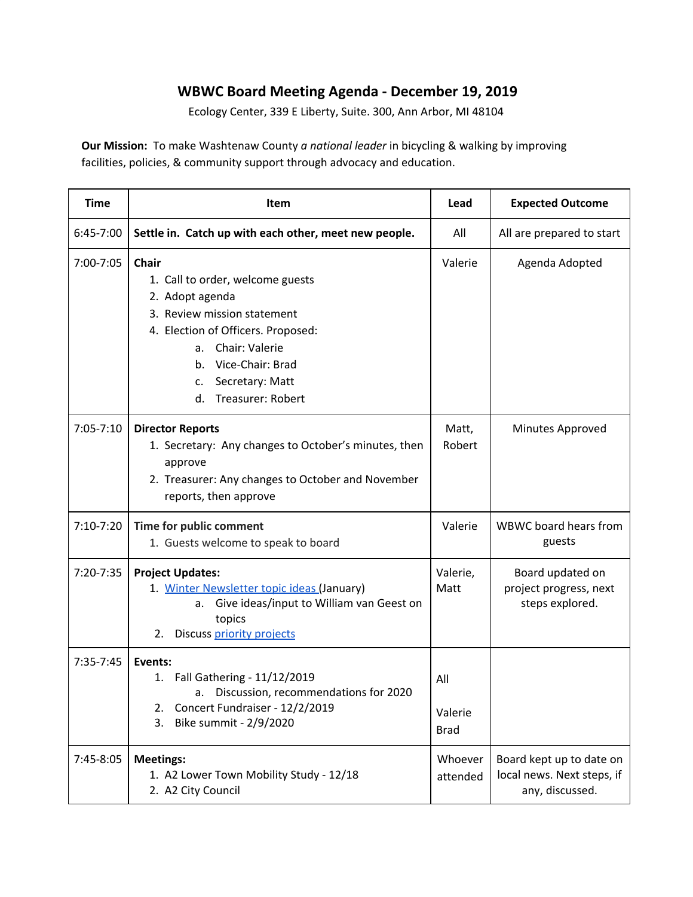## **WBWC Board Meeting Agenda - December 19, 2019**

Ecology Center, 339 E Liberty, Suite. 300, Ann Arbor, MI 48104

**Our Mission:** To make Washtenaw County *a national leader* in bicycling & walking by improving facilities, policies, & community support through advocacy and education.

| <b>Time</b>   | Item                                                                                                                                                                                                                                               | Lead                          | <b>Expected Outcome</b>                                                   |
|---------------|----------------------------------------------------------------------------------------------------------------------------------------------------------------------------------------------------------------------------------------------------|-------------------------------|---------------------------------------------------------------------------|
| 6:45-7:00     | Settle in. Catch up with each other, meet new people.                                                                                                                                                                                              | All                           | All are prepared to start                                                 |
| 7:00-7:05     | <b>Chair</b><br>1. Call to order, welcome guests<br>2. Adopt agenda<br>3. Review mission statement<br>4. Election of Officers. Proposed:<br>a. Chair: Valerie<br>Vice-Chair: Brad<br>b.<br>Secretary: Matt<br>C.<br><b>Treasurer: Robert</b><br>d. | Valerie                       | Agenda Adopted                                                            |
| $7:05 - 7:10$ | <b>Director Reports</b><br>1. Secretary: Any changes to October's minutes, then<br>approve<br>2. Treasurer: Any changes to October and November<br>reports, then approve                                                                           | Matt,<br>Robert               | Minutes Approved                                                          |
| $7:10-7:20$   | Time for public comment<br>1. Guests welcome to speak to board                                                                                                                                                                                     | Valerie                       | WBWC board hears from<br>guests                                           |
| $7:20-7:35$   | <b>Project Updates:</b><br>1. Winter Newsletter topic ideas (January)<br>Give ideas/input to William van Geest on<br>а.<br>topics<br>Discuss priority projects<br>2.                                                                               | Valerie,<br>Matt              | Board updated on<br>project progress, next<br>steps explored.             |
| $7:35 - 7:45$ | Events:<br>1. Fall Gathering - 11/12/2019<br>a. Discussion, recommendations for 2020<br>Concert Fundraiser - 12/2/2019<br>2.<br>3.<br>Bike summit - 2/9/2020                                                                                       | All<br>Valerie<br><b>Brad</b> |                                                                           |
| 7:45-8:05     | <b>Meetings:</b><br>1. A2 Lower Town Mobility Study - 12/18<br>2. A2 City Council                                                                                                                                                                  | Whoever<br>attended           | Board kept up to date on<br>local news. Next steps, if<br>any, discussed. |